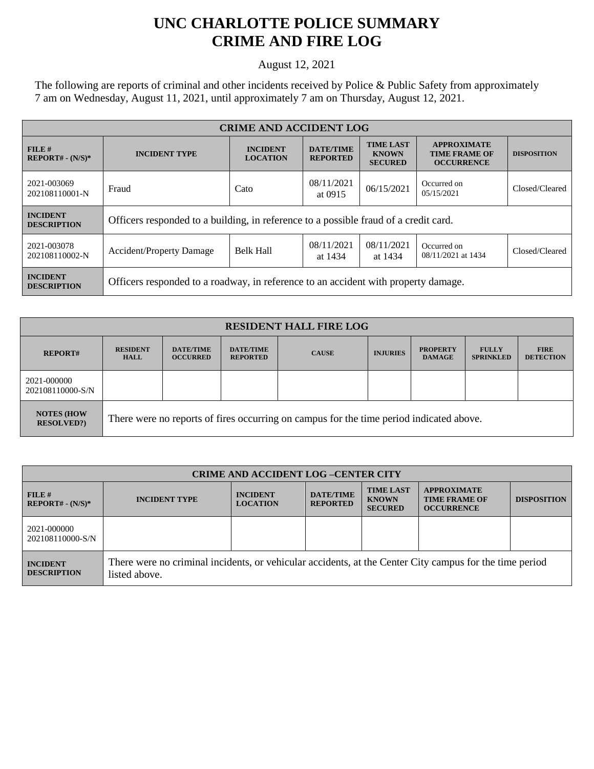## **UNC CHARLOTTE POLICE SUMMARY CRIME AND FIRE LOG**

August 12, 2021

The following are reports of criminal and other incidents received by Police & Public Safety from approximately 7 am on Wednesday, August 11, 2021, until approximately 7 am on Thursday, August 12, 2021.

| <b>CRIME AND ACCIDENT LOG</b>         |                                                                                      |                                    |                                     |                                                    |                                                                 |                    |  |
|---------------------------------------|--------------------------------------------------------------------------------------|------------------------------------|-------------------------------------|----------------------------------------------------|-----------------------------------------------------------------|--------------------|--|
| $FILE$ #<br>$REPORT# - (N/S)*$        | <b>INCIDENT TYPE</b>                                                                 | <b>INCIDENT</b><br><b>LOCATION</b> | <b>DATE/TIME</b><br><b>REPORTED</b> | <b>TIME LAST</b><br><b>KNOWN</b><br><b>SECURED</b> | <b>APPROXIMATE</b><br><b>TIME FRAME OF</b><br><b>OCCURRENCE</b> | <b>DISPOSITION</b> |  |
| 2021-003069<br>202108110001-N         | Fraud                                                                                | Cato                               | 08/11/2021<br>at 0915               | 06/15/2021                                         | Occurred on<br>05/15/2021                                       | Closed/Cleared     |  |
| <b>INCIDENT</b><br><b>DESCRIPTION</b> | Officers responded to a building, in reference to a possible fraud of a credit card. |                                    |                                     |                                                    |                                                                 |                    |  |
| 2021-003078<br>202108110002-N         | <b>Accident/Property Damage</b>                                                      | <b>Belk Hall</b>                   | 08/11/2021<br>at 1434               | 08/11/2021<br>at 1434                              | Occurred on<br>08/11/2021 at 1434                               | Closed/Cleared     |  |
| <b>INCIDENT</b><br><b>DESCRIPTION</b> | Officers responded to a roadway, in reference to an accident with property damage.   |                                    |                                     |                                                    |                                                                 |                    |  |

| <b>RESIDENT HALL FIRE LOG</b>          |                                                                                         |                                     |                                     |              |                 |                                  |                                  |                                 |
|----------------------------------------|-----------------------------------------------------------------------------------------|-------------------------------------|-------------------------------------|--------------|-----------------|----------------------------------|----------------------------------|---------------------------------|
| <b>REPORT#</b>                         | <b>RESIDENT</b><br><b>HALL</b>                                                          | <b>DATE/TIME</b><br><b>OCCURRED</b> | <b>DATE/TIME</b><br><b>REPORTED</b> | <b>CAUSE</b> | <b>INJURIES</b> | <b>PROPERTY</b><br><b>DAMAGE</b> | <b>FULLY</b><br><b>SPRINKLED</b> | <b>FIRE</b><br><b>DETECTION</b> |
| 2021-000000<br>202108110000-S/N        |                                                                                         |                                     |                                     |              |                 |                                  |                                  |                                 |
| <b>NOTES (HOW</b><br><b>RESOLVED?)</b> | There were no reports of fires occurring on campus for the time period indicated above. |                                     |                                     |              |                 |                                  |                                  |                                 |

| <b>CRIME AND ACCIDENT LOG-CENTER CITY</b> |                                                                                                                          |                                    |                                     |                                                    |                                                                 |                    |
|-------------------------------------------|--------------------------------------------------------------------------------------------------------------------------|------------------------------------|-------------------------------------|----------------------------------------------------|-----------------------------------------------------------------|--------------------|
| $FILE$ #<br>$REPORT# - (N/S)*$            | <b>INCIDENT TYPE</b>                                                                                                     | <b>INCIDENT</b><br><b>LOCATION</b> | <b>DATE/TIME</b><br><b>REPORTED</b> | <b>TIME LAST</b><br><b>KNOWN</b><br><b>SECURED</b> | <b>APPROXIMATE</b><br><b>TIME FRAME OF</b><br><b>OCCURRENCE</b> | <b>DISPOSITION</b> |
| 2021-000000<br>202108110000-S/N           |                                                                                                                          |                                    |                                     |                                                    |                                                                 |                    |
| <b>INCIDENT</b><br><b>DESCRIPTION</b>     | There were no criminal incidents, or vehicular accidents, at the Center City campus for the time period<br>listed above. |                                    |                                     |                                                    |                                                                 |                    |